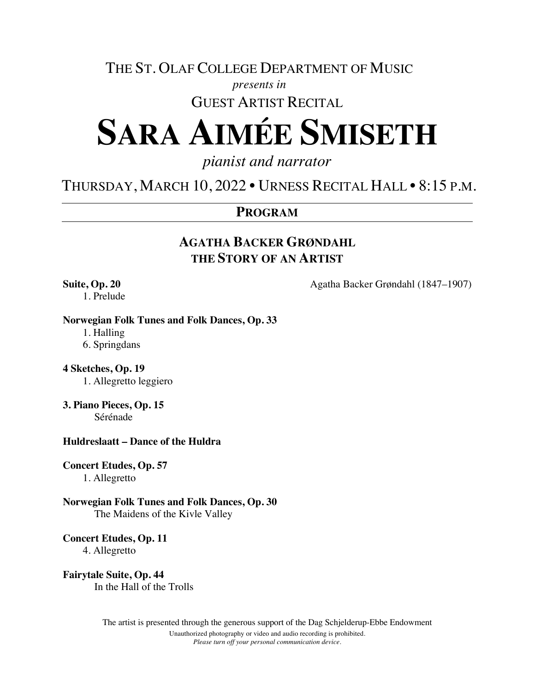# THE ST. OLAF COLLEGE DEPARTMENT OF MUSIC

### *presents in*

# GUEST ARTIST RECITAL

# **SARA AIMÉE SMISETH**

# *pianist and narrator*

# THURSDAY, MARCH 10, 2022 • URNESS RECITAL HALL • 8:15 P.M.

### **PROGRAM**

# **AGATHA BACKER GRØNDAHL THE STORY OF AN ARTIST**

1. Prelude

**Suite, Op. 20** Agatha Backer Grøndahl (1847–1907)

#### **Norwegian Folk Tunes and Folk Dances, Op. 33**

1. Halling

6. Springdans

#### **4 Sketches, Op. 19**

1. Allegretto leggiero

#### **3. Piano Pieces, Op. 15**

Sérénade

#### **Huldreslaatt – Dance of the Huldra**

#### **Concert Etudes, Op. 57**

1. Allegretto

# **Norwegian Folk Tunes and Folk Dances, Op. 30**

The Maidens of the Kivle Valley

#### **Concert Etudes, Op. 11**

4. Allegretto

#### **Fairytale Suite, Op. 44**

In the Hall of the Trolls

The artist is presented through the generous support of the Dag Schjelderup-Ebbe Endowment Unauthorized photography or video and audio recording is prohibited. *Please turn off your personal communication device.*